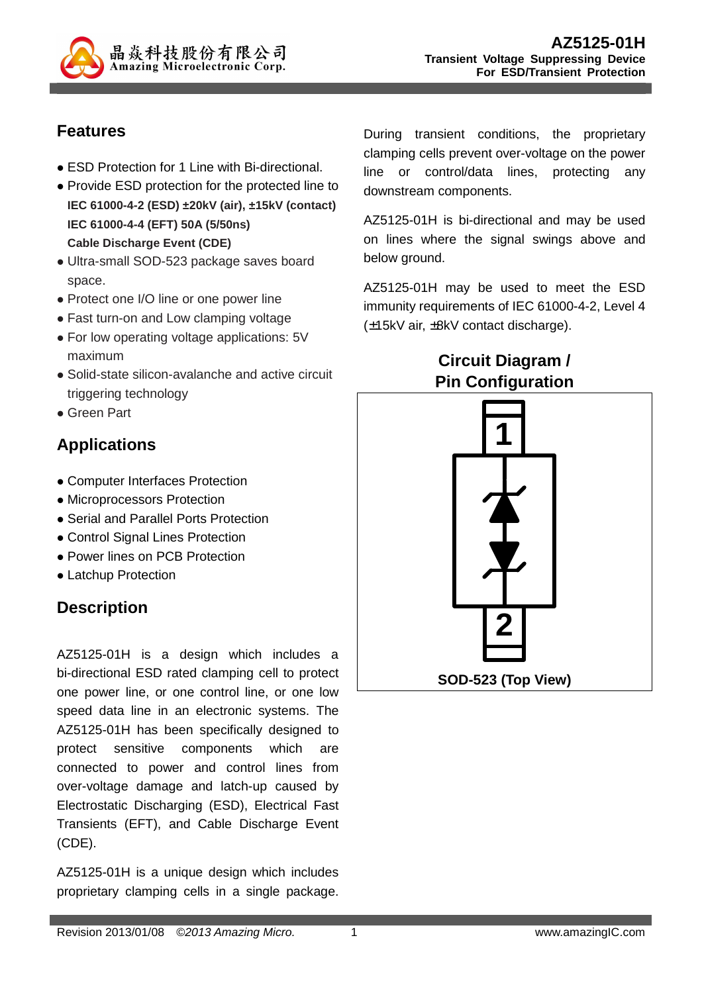

### **Features**

- ESD Protection for 1 Line with Bi-directional.
- Provide ESD protection for the protected line to **IEC 61000-4-2 (ESD) ±20kV (air), ±15kV (contact) IEC 61000-4-4 (EFT) 50A (5/50ns) Cable Discharge Event (CDE)**
- Ultra-small SOD-523 package saves board space.
- Protect one I/O line or one power line
- Fast turn-on and Low clamping voltage
- For low operating voltage applications: 5V maximum
- Solid-state silicon-avalanche and active circuit triggering technology
- Green Part

### **Applications**

- Computer Interfaces Protection
- Microprocessors Protection
- Serial and Parallel Ports Protection
- Control Signal Lines Protection
- Power lines on PCB Protection
- Latchup Protection

## **Description**

AZ5125-01H is a design which includes a bi-directional ESD rated clamping cell to protect one power line, or one control line, or one low speed data line in an electronic systems. The AZ5125-01H has been specifically designed to protect sensitive components which are connected to power and control lines from over-voltage damage and latch-up caused by Electrostatic Discharging (ESD), Electrical Fast Transients (EFT), and Cable Discharge Event (CDE).

AZ5125-01H is a unique design which includes proprietary clamping cells in a single package.

During transient conditions, the proprietary clamping cells prevent over-voltage on the power line or control/data lines, protecting any downstream components.

AZ5125-01H is bi-directional and may be used on lines where the signal swings above and below ground.

AZ5125-01H may be used to meet the ESD immunity requirements of IEC 61000-4-2, Level 4 (±15kV air, ±8kV contact discharge).

### **Circuit Diagram / Pin Configuration**

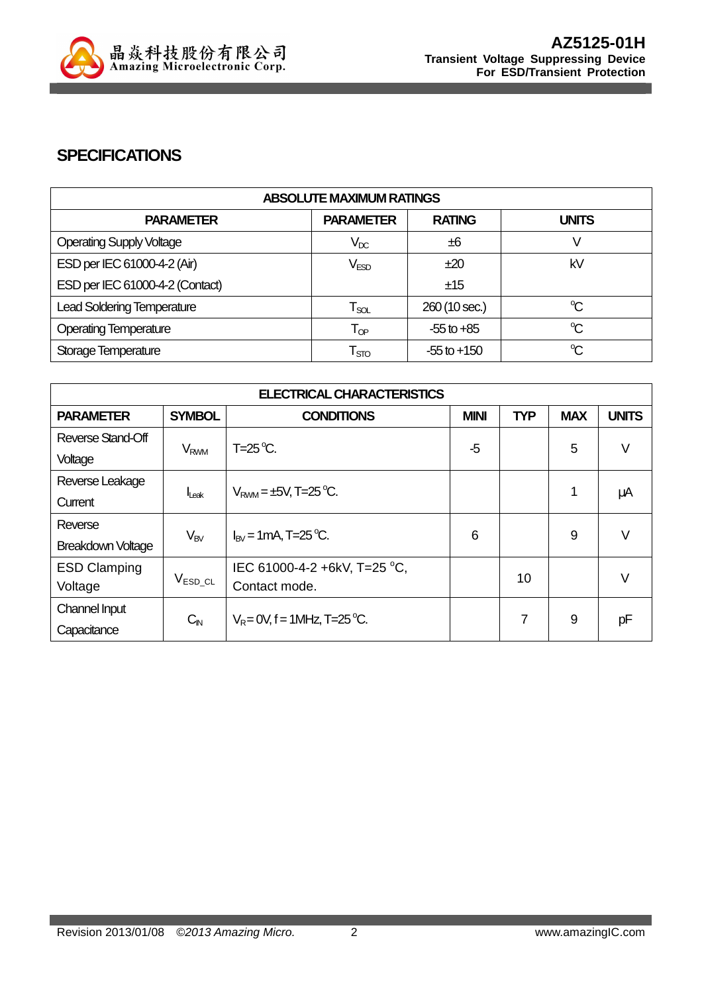

#### **SPECIFICATIONS**

| <b>ABSOLUTE MAXIMUM RATINGS</b>   |                             |                 |              |
|-----------------------------------|-----------------------------|-----------------|--------------|
| <b>PARAMETER</b>                  | <b>PARAMETER</b>            | <b>RATING</b>   | <b>UNITS</b> |
| <b>Operating Supply Voltage</b>   | $V_{DC}$                    | ±6              |              |
| ESD per IEC 61000-4-2 (Air)       | V <sub>ESD</sub>            | ±20             | kV           |
| ESD per IEC 61000-4-2 (Contact)   |                             | ±15             |              |
| <b>Lead Soldering Temperature</b> | $\mathsf{T}_{\mathsf{SOL}}$ | 260 (10 sec.)   | °C           |
| <b>Operating Temperature</b>      | $T_{OP}$                    | $-55$ to $+85$  | $\mathrm{C}$ |
| Storage Temperature               | $\mathsf{T}_{\text{STO}}$   | $-55$ to $+150$ | $\mathrm{C}$ |

| <b>ELECTRICAL CHARACTERISTICS</b> |                        |                                  |             |            |            |              |
|-----------------------------------|------------------------|----------------------------------|-------------|------------|------------|--------------|
| <b>PARAMETER</b>                  | <b>SYMBOL</b>          | <b>CONDITIONS</b>                | <b>MINI</b> | <b>TYP</b> | <b>MAX</b> | <b>UNITS</b> |
| Reverse Stand-Off                 |                        | $T=25^{\circ}C$ .                | $-5$        |            | 5          | V            |
| Voltage                           | <b>V<sub>RWM</sub></b> |                                  |             |            |            |              |
| Reverse Leakage                   |                        | $V_{RMM} = \pm 5V$ , T=25 °C.    |             |            | 1          | μA           |
| Current                           | Leak                   |                                  |             |            |            |              |
| Reverse                           |                        | $I_{\text{RV}}$ = 1 mA, T=25 °C. | 6           |            | 9          | $\vee$       |
| <b>Breakdown Voltage</b>          | $V_{BV}$               |                                  |             |            |            |              |
| <b>ESD Clamping</b>               |                        | IEC 61000-4-2 +6kV, T=25 °C,     |             | 10         |            | V            |
| Voltage                           | $\rm V_{ESD\_CL}$      | Contact mode.                    |             |            |            |              |
| Channel Input                     | $C_{\mathsf{IN}}$      | $V_R = 0V$ , f = 1MHz, T=25 °C.  |             | 7          | 9          | рF           |
| Capacitance                       |                        |                                  |             |            |            |              |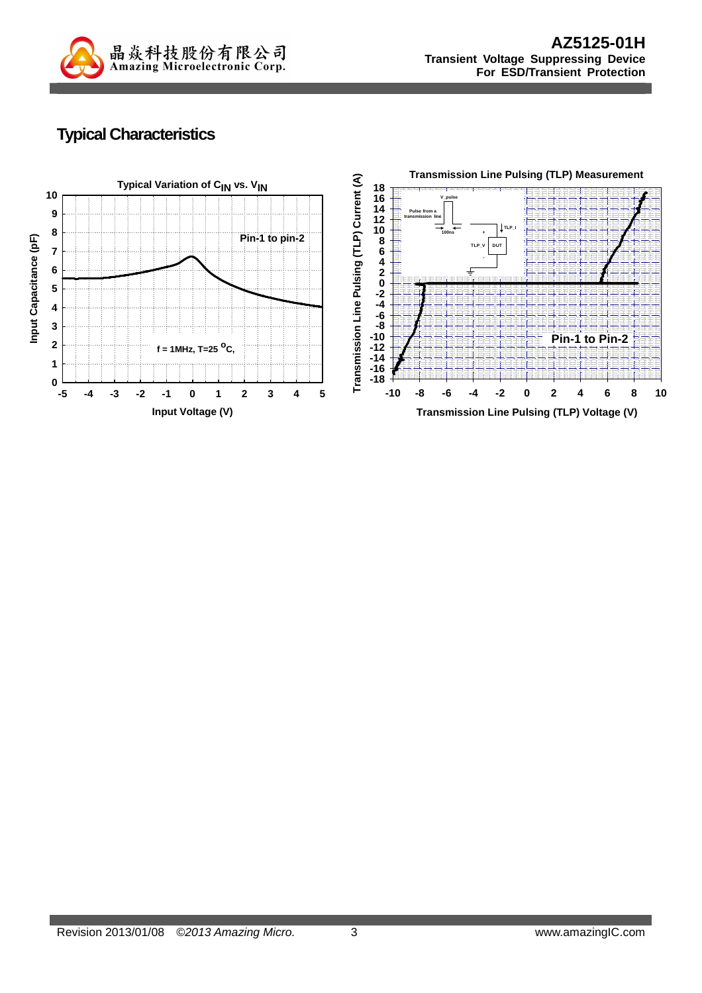

## **Typical Characteristics**

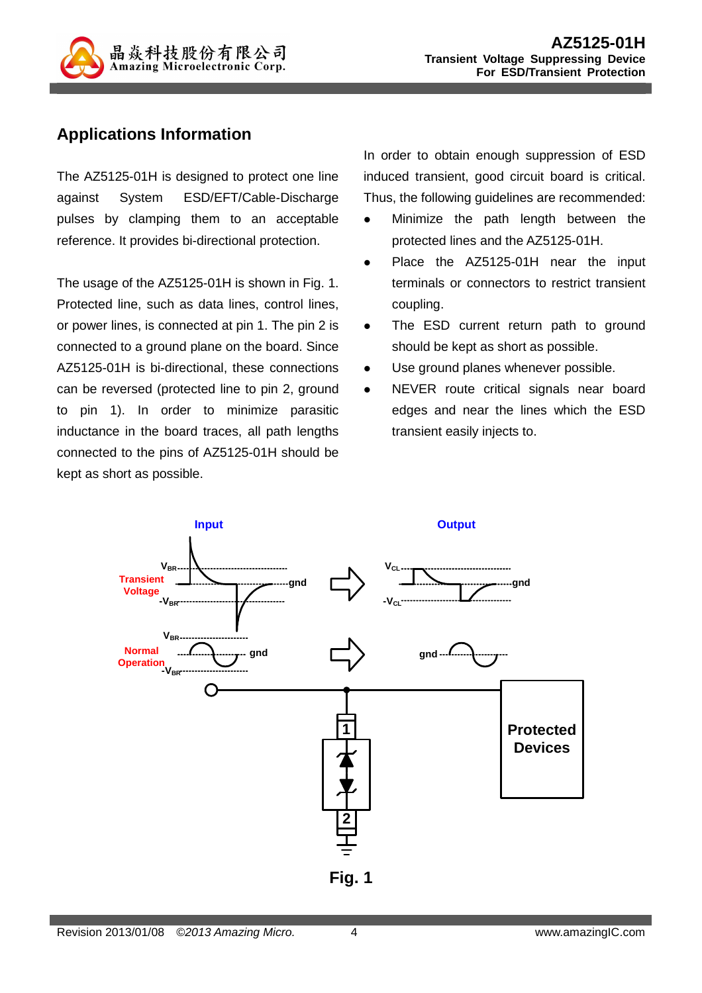

### **Applications Information**

The AZ5125-01H is designed to protect one line against System ESD/EFT/Cable-Discharge pulses by clamping them to an acceptable reference. It provides bi-directional protection.

The usage of the AZ5125-01H is shown in Fig. 1. Protected line, such as data lines, control lines, or power lines, is connected at pin 1. The pin 2 is connected to a ground plane on the board. Since AZ5125-01H is bi-directional, these connections can be reversed (protected line to pin 2, ground to pin 1). In order to minimize parasitic inductance in the board traces, all path lengths connected to the pins of AZ5125-01H should be kept as short as possible.

In order to obtain enough suppression of ESD induced transient, good circuit board is critical. Thus, the following guidelines are recommended:

- Minimize the path length between the protected lines and the AZ5125-01H.
- Place the AZ5125-01H near the input terminals or connectors to restrict transient coupling.
- The ESD current return path to ground should be kept as short as possible.
- Use ground planes whenever possible.
- NEVER route critical signals near board edges and near the lines which the ESD transient easily injects to.

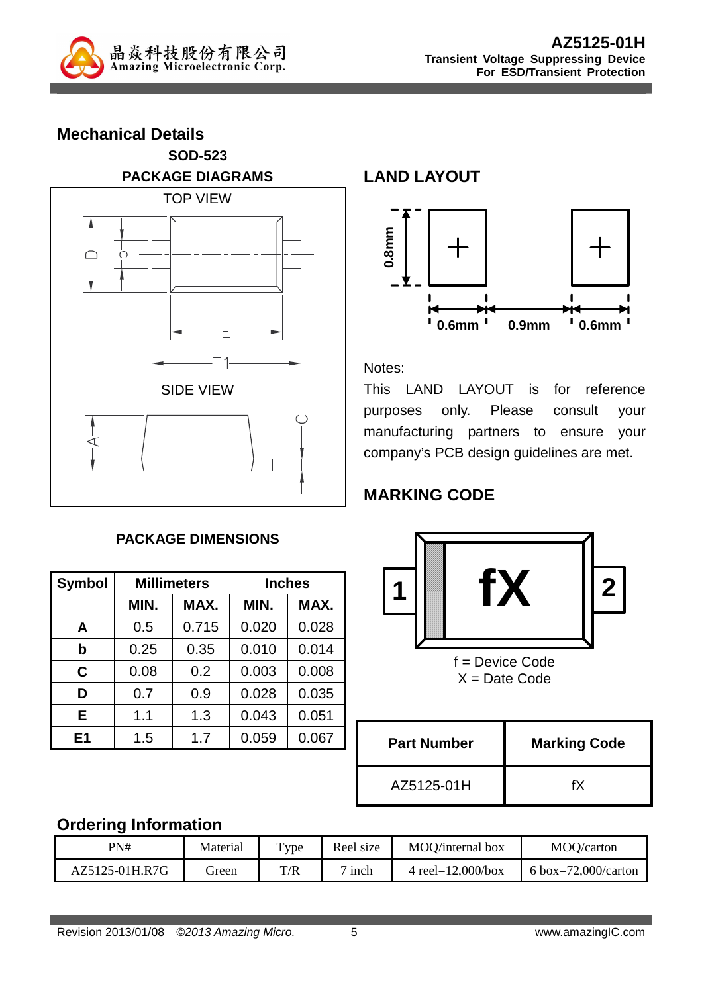

| <b>Mechanical Details</b> |  |  |
|---------------------------|--|--|
| <b>SOD-523</b>            |  |  |
| <b>PACKAGE DIAGRAMS</b>   |  |  |
| <b>TOP VIEW</b>           |  |  |
|                           |  |  |
| <b>SIDE VIEW</b>          |  |  |
|                           |  |  |

#### **PACKAGE DIMENSIONS**

| <b>Symbol</b>  | <b>Millimeters</b> |       | <b>Inches</b> |       |  |
|----------------|--------------------|-------|---------------|-------|--|
|                | MIN.               | MAX.  | MIN.          | MAX.  |  |
| A              | 0.5                | 0.715 | 0.020         | 0.028 |  |
| b              | 0.25               | 0.35  | 0.010         | 0.014 |  |
| C              | 0.08               | 0.2   | 0.003         | 0.008 |  |
| D              | 0.7                | 0.9   | 0.028         | 0.035 |  |
| Е              | 1.1                | 1.3   | 0.043         | 0.051 |  |
| E <sub>1</sub> | 1.5                | 1.7   | 0.059         | 0.067 |  |

**LAND LAYOUT**



Notes:

This LAND LAYOUT is for reference purposes only. Please consult your manufacturing partners to ensure your company's PCB design guidelines are met.

## **MARKING CODE**



f = Device Code  $X = Date Code$ 

| <b>Part Number</b> | <b>Marking Code</b> |
|--------------------|---------------------|
| AZ5125-01H         | fХ                  |

### **Ordering Information**

| PN#            | Material | T <sub>Y</sub> pe | Reel size     | MOO/internal box      | MOO/carton          |
|----------------|----------|-------------------|---------------|-----------------------|---------------------|
| AZ5125-01H.R7G | freen    | T/R               | $\sigma$ inch | 4 reel= $12,000/b$ ox | 6 box=72,000/carton |